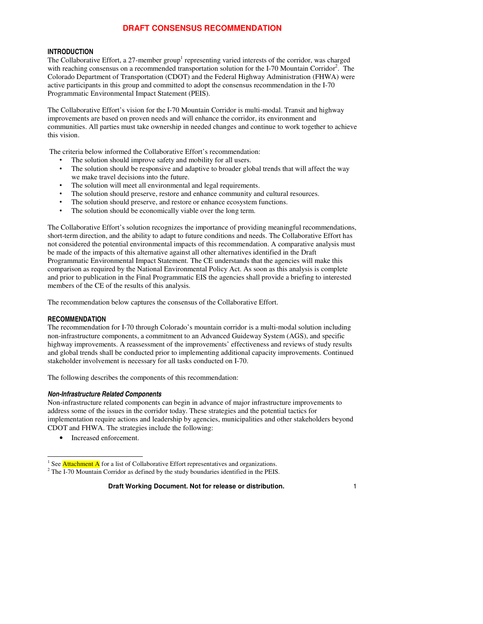#### **INTRODUCTION**

The Collaborative Effort, a 27-member group<sup>1</sup> representing varied interests of the corridor, was charged with reaching consensus on a recommended transportation solution for the I-70 Mountain Corridor<sup>2</sup>. The Colorado Department of Transportation (CDOT) and the Federal Highway Administration (FHWA) were active participants in this group and committed to adopt the consensus recommendation in the I-70 Programmatic Environmental Impact Statement (PEIS).

The Collaborative Effort's vision for the I-70 Mountain Corridor is multi-modal. Transit and highway improvements are based on proven needs and will enhance the corridor, its environment and communities. All parties must take ownership in needed changes and continue to work together to achieve this vision.

The criteria below informed the Collaborative Effort's recommendation:

- The solution should improve safety and mobility for all users.<br>• The solution should be repropsive and adoptive to broader alo
- The solution should be responsive and adaptive to broader global trends that will affect the way we make travel decisions into the future.
- The solution will meet all environmental and legal requirements.
- The solution should preserve, restore and enhance community and cultural resources.
- The solution should preserve, and restore or enhance ecosystem functions.<br>• The solution should be economically viable over the long term
- The solution should be economically viable over the long term.

The Collaborative Effort's solution recognizes the importance of providing meaningful recommendations, short-term direction, and the ability to adapt to future conditions and needs. The Collaborative Effort has not considered the potential environmental impacts of this recommendation. A comparative analysis must be made of the impacts of this alternative against all other alternatives identified in the Draft Programmatic Environmental Impact Statement. The CE understands that the agencies will make this comparison as required by the National Environmental Policy Act. As soon as this analysis is complete and prior to publication in the Final Programmatic EIS the agencies shall provide a briefing to interested members of the CE of the results of this analysis.

The recommendation below captures the consensus of the Collaborative Effort.

#### **RECOMMENDATION**

The recommendation for I-70 through Colorado's mountain corridor is a multi-modal solution including non-infrastructure components, a commitment to an Advanced Guideway System (AGS), and specific highway improvements. A reassessment of the improvements' effectiveness and reviews of study results and global trends shall be conducted prior to implementing additional capacity improvements. Continued stakeholder involvement is necessary for all tasks conducted on I-70.

The following describes the components of this recommendation:

#### *Non-Infrastructure Related Components*

Non-infrastructure related components can begin in advance of major infrastructure improvements to address some of the issues in the corridor today. These strategies and the potential tactics for implementation require actions and leadership by agencies, municipalities and other stakeholders beyond CDOT and FHWA. The strategies include the following:

• Increased enforcement.

<sup>&</sup>lt;sup>1</sup> See **Attachment A** for a list of Collaborative Effort representatives and organizations. <sup>2</sup> The I-70 Mountain Corridor as defined by the study boundaries identified in the PEIS.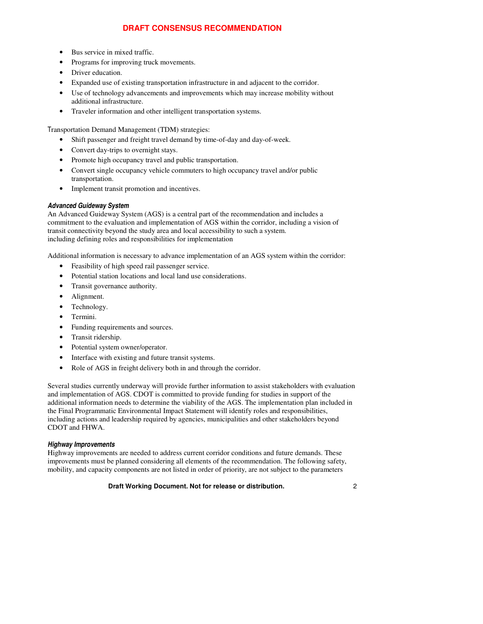- Bus service in mixed traffic.
- Programs for improving truck movements.
- Driver education.
- Expanded use of existing transportation infrastructure in and adjacent to the corridor.
- Use of technology advancements and improvements which may increase mobility without additional infrastructure.
- Traveler information and other intelligent transportation systems.

Transportation Demand Management (TDM) strategies:

- Shift passenger and freight travel demand by time-of-day and day-of-week.
- Convert day-trips to overnight stays.
- Promote high occupancy travel and public transportation.
- Convert single occupancy vehicle commuters to high occupancy travel and/or public transportation.
- Implement transit promotion and incentives.

### *Advanced Guideway System*

An Advanced Guideway System (AGS) is a central part of the recommendation and includes a commitment to the evaluation and implementation of AGS within the corridor, including a vision of transit connectivity beyond the study area and local accessibility to such a system. including defining roles and responsibilities for implementation

Additional information is necessary to advance implementation of an AGS system within the corridor:

- Feasibility of high speed rail passenger service.
- Potential station locations and local land use considerations.
- Transit governance authority.
- Alignment.
- Technology.
- Termini.
- Funding requirements and sources.
- Transit ridership.
- Potential system owner/operator.
- Interface with existing and future transit systems.
- Role of AGS in freight delivery both in and through the corridor.

Several studies currently underway will provide further information to assist stakeholders with evaluation and implementation of AGS. CDOT is committed to provide funding for studies in support of the additional information needs to determine the viability of the AGS. The implementation plan included in the Final Programmatic Environmental Impact Statement will identify roles and responsibilities, including actions and leadership required by agencies, municipalities and other stakeholders beyond CDOT and FHWA.

### *Highway Improvements*

Highway improvements are needed to address current corridor conditions and future demands. These improvements must be planned considering all elements of the recommendation. The following safety, mobility, and capacity components are not listed in order of priority, are not subject to the parameters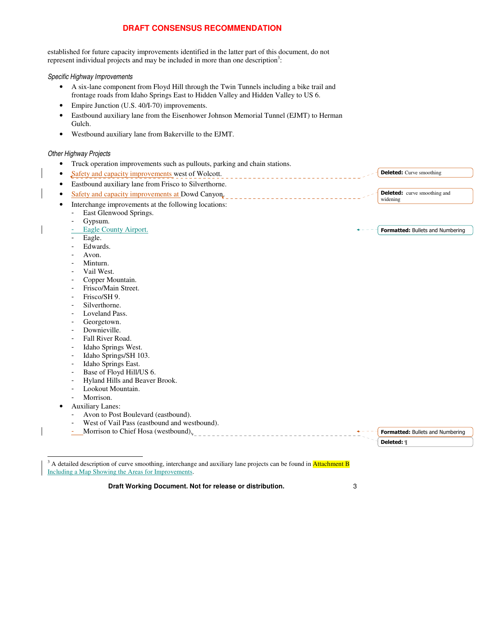established for future capacity improvements identified in the latter part of this document, do not represent individual projects and may be included in more than one description<sup>3</sup>:

*Specific Highway Improvements*

- A six-lane component from Floyd Hill through the Twin Tunnels including a bike trail and frontage roads from Idaho Springs East to Hidden Valley and Hidden Valley to US 6.
- Empire Junction (U.S. 40/I-70) improvements.
- Eastbound auxiliary lane from the Eisenhower Johnson Memorial Tunnel (EJMT) to Herman Gulch.
- Westbound auxiliary lane from Bakerville to the EJMT.

#### *Other Highway Projects*

- Truck operation improvements such as pullouts, parking and chain stations.
- Safety and capacity improvements west of Wolcott. • Eastbound auxiliary lane from Frisco to Silverthorne. • Safety and capacity improvements at Dowd Canyon. Interchange improvements at the following locations: - East Glenwood Springs. Gypsum. Eagle County Airport. Eagle. Edwards. Avon. - Minturn. Vail West. Copper Mountain. - Frisco/Main Street. - Frisco/SH 9. Silverthorne. - Loveland Pass. Georgetown. Downieville. Fall River Road. Idaho Springs West. Idaho Springs/SH 103. - Idaho Springs East. - Base of Floyd Hill/US 6. - Hyland Hills and Beaver Brook.<br>- Lookout Mountain Lookout Mountain. Morrison. Formatted: Bullets and Numbering Deleted: Curve smoothing **Deleted:** curve smoothing and widening
	- Auxiliary Lanes:
	- Avon to Post Boulevard (eastbound).
		- West of Vail Pass (eastbound and westbound).



<sup>3</sup> A detailed description of curve smoothing, interchange and auxiliary lane projects can be found in **Attachment B** Including a Map Showing the Areas for Improvements.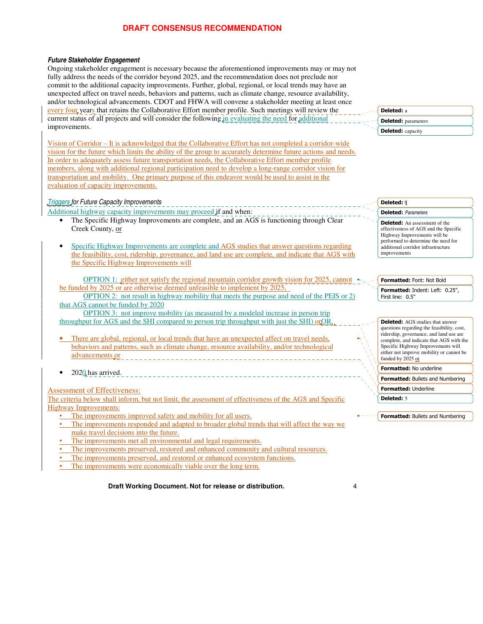#### *Future Stakeholder Engagement*

Ongoing stakeholder engagement is necessary because the aforementioned improvements may or may not fully address the needs of the corridor beyond 2025, and the recommendation does not preclude nor commit to the additional capacity improvements. Further, global, regional, or local trends may have an unexpected affect on travel needs, behaviors and patterns, such as climate change, resource availability, and/or technological advancements. CDOT and FHWA will convene a stakeholder meeting at least once every four years that retains the Collaborative Effort member profile. Such meetings will review the current status of all projects and will consider the following in evaluating the need for additional improvements.

Vision of Corridor – It is acknowledged that the Collaborative Effort has not completed a corridor-wide vision for the future which limits the ability of the group to accurately determine future actions and needs. In order to adequately assess future transportation needs, the Collaborative Effort member profile members, along with additional regional participation need to develop a long-range corridor vision for transportation and mobility. One primary purpose of this endeavor would be used to assist in the evaluation of capacity improvements.

#### *Triggers for Future Capacity Improvements*

Additional highway capacity improvements may proceed if and when:

- The Specific Highway Improvements are complete, and an AGS is functioning through Clear Creek County, or
- Specific Highway Improvements are complete and AGS studies that answer questions regarding the feasibility, cost, ridership, governance, and land use are complete, and indicate that AGS with the Specific Highway Improvements will

OPTION 1: either not satisfy the regional mountain corridor growth vision for 2025, cannot be funded by 2025 or are otherwise deemed unfeasible to implement by 2025,

OPTION 2: not result in highway mobility that meets the purpose and need of the PEIS or 2) that AGS cannot be funded by 2020

OPTION 3: not improve mobility (as measured by a modeled increase in person trip throughput for AGS and the SHI compared to person trip throughput with just the SHI) or OR.

- There are global, regional, or local trends that have an unexpected affect on travel needs, behaviors and patterns, such as climate change, resource availability, and/or technological advancements or \_\_\_\_\_\_\_\_\_\_\_\_\_\_\_\_\_\_\_\_\_\_\_\_\_\_\_\_
- 2020 has arrived.

Assessment of Effectiveness:

The criteria below shall inform, but not limit, the assessment of effectiveness of the AGS and Specific Highway Improvements:

- The improvements improved safety and mobility for all users.
- The improvements responded and adapted to broader global trends that will affect the way we make travel decisions into the future.
- The improvements met all environmental and legal requirements.
- The improvements preserved, restored and enhanced community and cultural resources.
- The improvements preserved, and restored or enhanced ecosystem functions.
- The improvements were economically viable over the long term.

**Draft Working Document. Not for release or distribution.** 4

Deleted: a **Deleted:** parameters Deleted: capacity

# Deleted: ¶

 *Parameters* Deleted: An assessment of the effectiveness of AGS and the Specific Highway Improvements will be performed to determine the need for additional corridor infrastructure improvements

### Formatted: Font: Not Bold

Formatted: Indent: Left: 0.25", First line: 0.5"

Deleted: AGS studies that answer questions regarding the feasibility, cost, ridership, governance, and land use are complete, and indicate that AGS with the Specific Highway Improvements will either not improve mobility or cannot be funded by 2025 or

Formatted: No underline

Formatted: Bullets and Numbering Formatted: Underline

Deleted: 5

Formatted: Bullets and Numbering